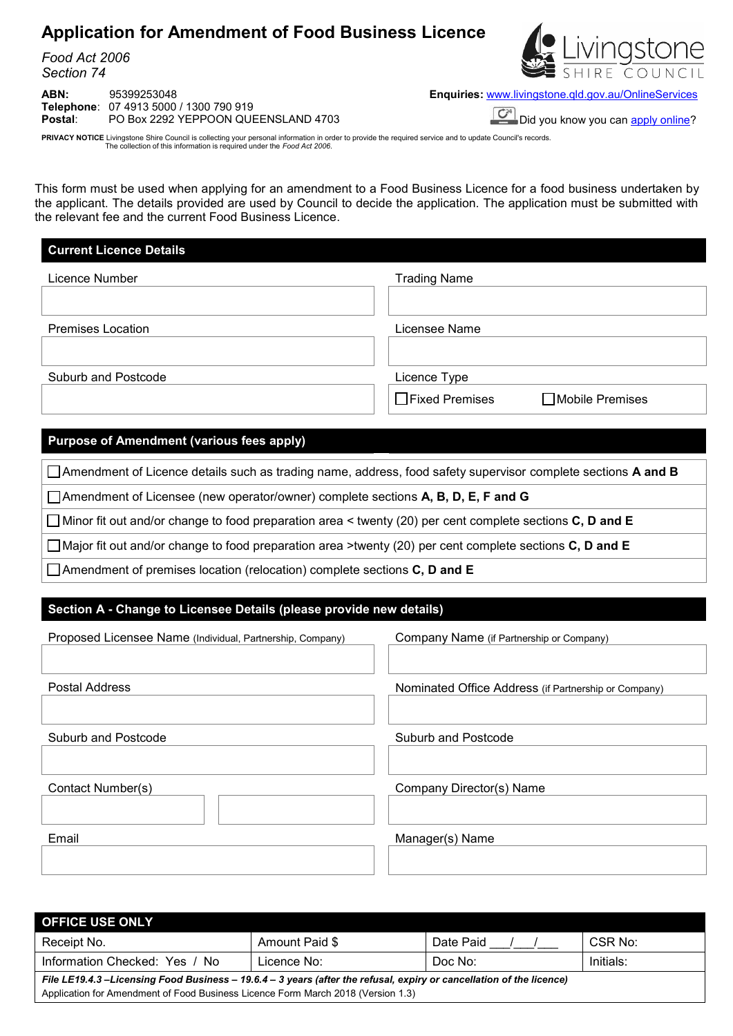# **Application for Amendment of Food Business Licence**

*Food Act 2006 Section 74*

**ABN:** 95399253048 **Enquiries:** [www.livingstone.qld.gov.au/OnlineServices](http://www.livingstone.qld.gov.au/OnlineServices) **Telephone**: 07 4913 5000 / 1300 790 919 **Postal:** PO Box 2292 YEPPOON QUEENSLAND 4703 Did you know you can apply online?



PRIVACY NOTICE Livingstone Shire Council is collecting your personal information in order to provide the required service and to update Council's records.<br>The collection of this information is required under the Food Act 2

This form must be used when applying for an amendment to a Food Business Licence for a food business undertaken by the applicant. The details provided are used by Council to decide the application. The application must be submitted with the relevant fee and the current Food Business Licence.

# **Current Licence Details**

| Licence Number           | <b>Trading Name</b>                        |
|--------------------------|--------------------------------------------|
|                          |                                            |
| <b>Premises Location</b> | Licensee Name                              |
|                          |                                            |
| Suburb and Postcode      | Licence Type                               |
|                          | $\Box$ Fixed Premises<br>□ Mobile Premises |

## **Purpose of Amendment (various fees apply)**

Amendment of Licence details such as trading name, address, food safety supervisor complete sections **A and B**

Amendment of Licensee (new operator/owner) complete sections **A, B, D, E, F and G**

Minor fit out and/or change to food preparation area < twenty (20) per cent complete sections **C, D and E**

Major fit out and/or change to food preparation area >twenty (20) per cent complete sections **C, D and E**

Amendment of premises location (relocation) complete sections **C, D and E**

# **Section A - Change to Licensee Details (please provide new details)**

| Proposed Licensee Name (Individual, Partnership, Company) | Company Name (if Partnership or Company)             |
|-----------------------------------------------------------|------------------------------------------------------|
|                                                           |                                                      |
| Postal Address                                            | Nominated Office Address (if Partnership or Company) |
|                                                           |                                                      |
| <b>Suburb and Postcode</b>                                | Suburb and Postcode                                  |
|                                                           |                                                      |
| Contact Number(s)                                         | Company Director(s) Name                             |
|                                                           |                                                      |
| Email                                                     | Manager(s) Name                                      |
|                                                           |                                                      |
|                                                           |                                                      |

| <b>OFFICE USE ONLY</b>                                                                                               |                                                                                  |           |         |  |  |  |  |  |  |
|----------------------------------------------------------------------------------------------------------------------|----------------------------------------------------------------------------------|-----------|---------|--|--|--|--|--|--|
| Receipt No.                                                                                                          | Amount Paid \$                                                                   | Date Paid | CSR No: |  |  |  |  |  |  |
| Information Checked: Yes / No                                                                                        | Doc No:                                                                          | Initials: |         |  |  |  |  |  |  |
| File LE19.4.3 -Licensing Food Business - 19.6.4 - 3 years (after the refusal, expiry or cancellation of the licence) |                                                                                  |           |         |  |  |  |  |  |  |
|                                                                                                                      | Application for Amendment of Food Business Licence Form March 2018 (Version 1.3) |           |         |  |  |  |  |  |  |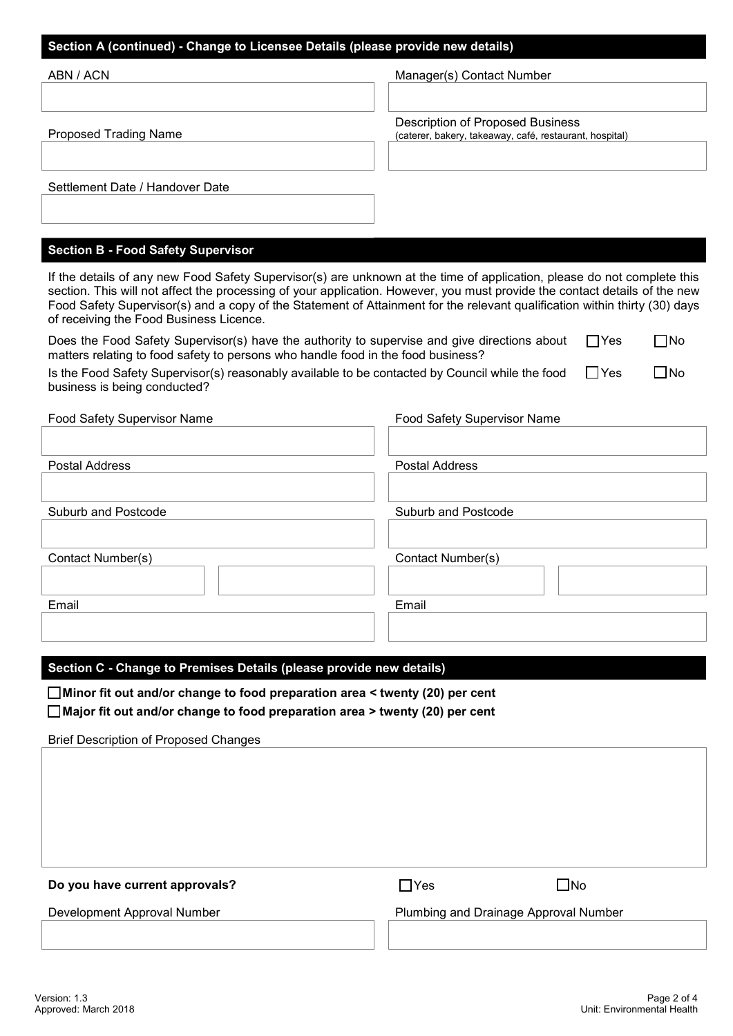### **Section A (continued) - Change to Licensee Details (please provide new details)**

| ABN / ACN                                                                                                                                                                                                                                                                                                                                                                                                                      | Manager(s) Contact Number                                                                   |  |  |  |  |  |  |
|--------------------------------------------------------------------------------------------------------------------------------------------------------------------------------------------------------------------------------------------------------------------------------------------------------------------------------------------------------------------------------------------------------------------------------|---------------------------------------------------------------------------------------------|--|--|--|--|--|--|
| <b>Proposed Trading Name</b>                                                                                                                                                                                                                                                                                                                                                                                                   | Description of Proposed Business<br>(caterer, bakery, takeaway, café, restaurant, hospital) |  |  |  |  |  |  |
| Settlement Date / Handover Date                                                                                                                                                                                                                                                                                                                                                                                                |                                                                                             |  |  |  |  |  |  |
| <b>Section B - Food Safety Supervisor</b>                                                                                                                                                                                                                                                                                                                                                                                      |                                                                                             |  |  |  |  |  |  |
| If the details of any new Food Safety Supervisor(s) are unknown at the time of application, please do not complete this<br>section. This will not affect the processing of your application. However, you must provide the contact details of the new<br>Food Safety Supervisor(s) and a copy of the Statement of Attainment for the relevant qualification within thirty (30) days<br>of receiving the Food Business Licence. |                                                                                             |  |  |  |  |  |  |

Does the Food Safety Supervisor(s) have the authority to supervise and give directions about matters relating to food safety to persons who handle food in the food business?  $\Box$ Yes  $\Box$ No

| Is the Food Safety Supervisor(s) reasonably available to be contacted by Council while the food $\Box$ Yes | $\Box$ No |
|------------------------------------------------------------------------------------------------------------|-----------|
| business is being conducted?                                                                               |           |

| Food Safety Supervisor Name | <b>Food Safety Supervisor Name</b> |
|-----------------------------|------------------------------------|
|                             |                                    |
| <b>Postal Address</b>       | <b>Postal Address</b>              |
|                             |                                    |
| Suburb and Postcode         | Suburb and Postcode                |
|                             |                                    |
| Contact Number(s)           | Contact Number(s)                  |
|                             |                                    |
| Email                       | Email                              |
|                             |                                    |
|                             |                                    |

#### **Section C - Change to Premises Details (please provide new details)**

 **Minor fit out and/or change to food preparation area < twenty (20) per cent Major fit out and/or change to food preparation area > twenty (20) per cent**

Brief Description of Proposed Changes

| Do you have current approvals? | $\sqcap$ Yes                          | $\square$ No |
|--------------------------------|---------------------------------------|--------------|
| Development Approval Number    | Plumbing and Drainage Approval Number |              |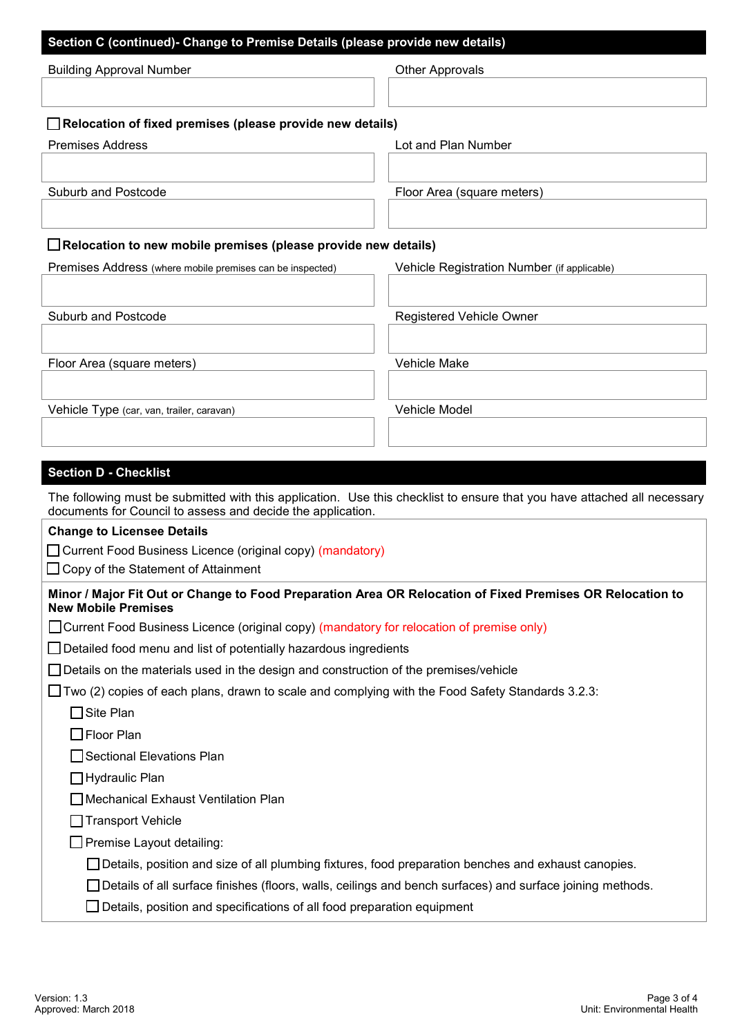| <b>Building Approval Number</b>                                       | <b>Other Approvals</b>                                                                                                   |
|-----------------------------------------------------------------------|--------------------------------------------------------------------------------------------------------------------------|
|                                                                       |                                                                                                                          |
| $\Box$ Relocation of fixed premises (please provide new details)      |                                                                                                                          |
| <b>Premises Address</b>                                               | Lot and Plan Number                                                                                                      |
|                                                                       |                                                                                                                          |
| Suburb and Postcode                                                   | Floor Area (square meters)                                                                                               |
| $\Box$ Relocation to new mobile premises (please provide new details) |                                                                                                                          |
| Premises Address (where mobile premises can be inspected)             | Vehicle Registration Number (if applicable)                                                                              |
|                                                                       |                                                                                                                          |
| Suburb and Postcode                                                   | Registered Vehicle Owner                                                                                                 |
|                                                                       |                                                                                                                          |
| Floor Area (square meters)                                            | Vehicle Make                                                                                                             |
| Vehicle Type (car, van, trailer, caravan)                             | Vehicle Model                                                                                                            |
|                                                                       |                                                                                                                          |
| <b>Section D - Checklist</b>                                          |                                                                                                                          |
| documents for Council to assess and decide the application.           | The following must be submitted with this application. Use this checklist to ensure that you have attached all necessary |
| <b>Change to Licensee Details</b>                                     |                                                                                                                          |
| Current Food Business Licence (original copy) (mandatory)             |                                                                                                                          |

□ Copy of the Statement of Attainment

| Minor / Major Fit Out or Change to Food Preparation Area OR Relocation of Fixed Premises OR Relocation to |  |
|-----------------------------------------------------------------------------------------------------------|--|
| <b>New Mobile Premises</b>                                                                                |  |

| □ Current Food Business Licence (original copy) (mandatory for relocation of premise only) |  |  |
|--------------------------------------------------------------------------------------------|--|--|
|                                                                                            |  |  |

| $\Box$ Detailed food menu and list of potentially hazardous ingredients |  |  |  |
|-------------------------------------------------------------------------|--|--|--|
|                                                                         |  |  |  |

|  |  |  |  |  |  |  | $\Box$ Details on the materials used in the design and construction of the premises/vehicle |  |
|--|--|--|--|--|--|--|---------------------------------------------------------------------------------------------|--|
|  |  |  |  |  |  |  |                                                                                             |  |

|  |  |  |  | $\Box$ Two (2) copies of each plans, drawn to scale and complying with the Food Safety Standards 3.2.3: |  |  |  |  |  |  |  |
|--|--|--|--|---------------------------------------------------------------------------------------------------------|--|--|--|--|--|--|--|
|  |  |  |  |                                                                                                         |  |  |  |  |  |  |  |
|  |  |  |  |                                                                                                         |  |  |  |  |  |  |  |

| $\Box$ Site Plan                                  |
|---------------------------------------------------|
| $\Box$ Floor Plan                                 |
| □ Sectional Elevations Plan                       |
| <b>□ Hydraulic Plan</b>                           |
| □ Mechanical Exhaust Ventilation Plan             |
| □ Transport Vehicle                               |
| □ Premise Layout detailing:                       |
| $\Box$ Details, position and size of all plumbing |
|                                                   |

fixtures, food preparation benches and exhaust canopies.

□ Details of all surface finishes (floors, walls, ceilings and bench surfaces) and surface joining methods.

Details, position and specifications of all food preparation equipment